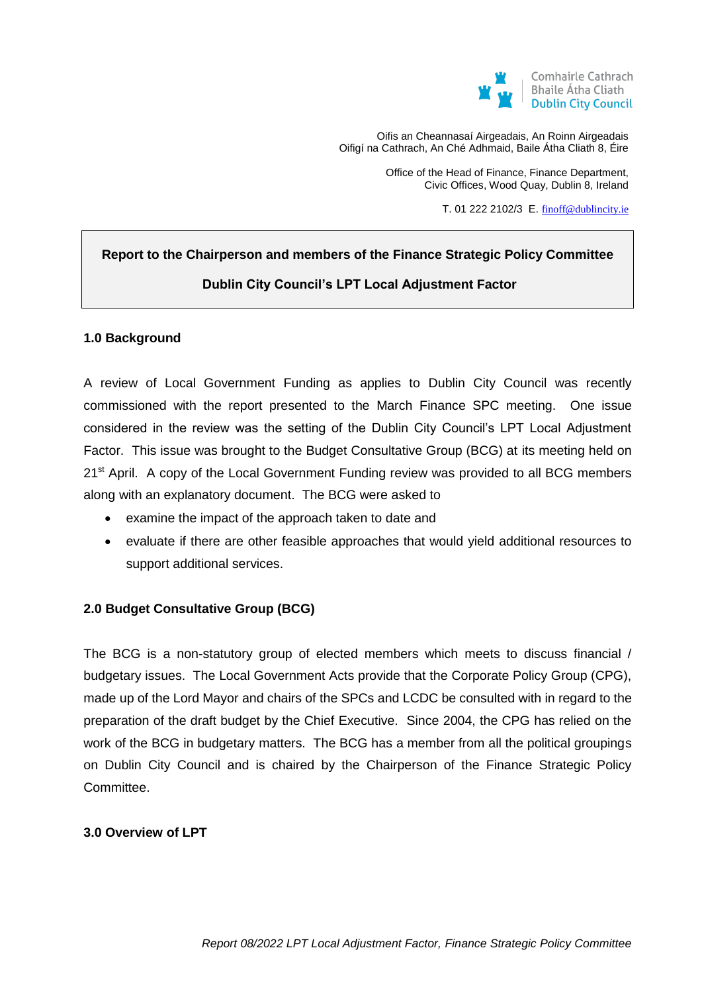

Oifis an Cheannasaí Airgeadais, An Roinn Airgeadais Oifigí na Cathrach, An Ché Adhmaid, Baile Átha Cliath 8, Éire

> Office of the Head of Finance, Finance Department, Civic Offices, Wood Quay, Dublin 8, Ireland

> > T. 01 222 2102/3 E. [finoff@dublincity.ie](mailto:finoff@dublincity.ie)

# **Report to the Chairperson and members of the Finance Strategic Policy Committee Dublin City Council's LPT Local Adjustment Factor**

#### **1.0 Background**

A review of Local Government Funding as applies to Dublin City Council was recently commissioned with the report presented to the March Finance SPC meeting. One issue considered in the review was the setting of the Dublin City Council's LPT Local Adjustment Factor. This issue was brought to the Budget Consultative Group (BCG) at its meeting held on 21<sup>st</sup> April. A copy of the Local Government Funding review was provided to all BCG members along with an explanatory document. The BCG were asked to

- examine the impact of the approach taken to date and
- evaluate if there are other feasible approaches that would yield additional resources to support additional services.

#### **2.0 Budget Consultative Group (BCG)**

The BCG is a non-statutory group of elected members which meets to discuss financial / budgetary issues. The Local Government Acts provide that the Corporate Policy Group (CPG), made up of the Lord Mayor and chairs of the SPCs and LCDC be consulted with in regard to the preparation of the draft budget by the Chief Executive. Since 2004, the CPG has relied on the work of the BCG in budgetary matters. The BCG has a member from all the political groupings on Dublin City Council and is chaired by the Chairperson of the Finance Strategic Policy Committee.

#### **3.0 Overview of LPT**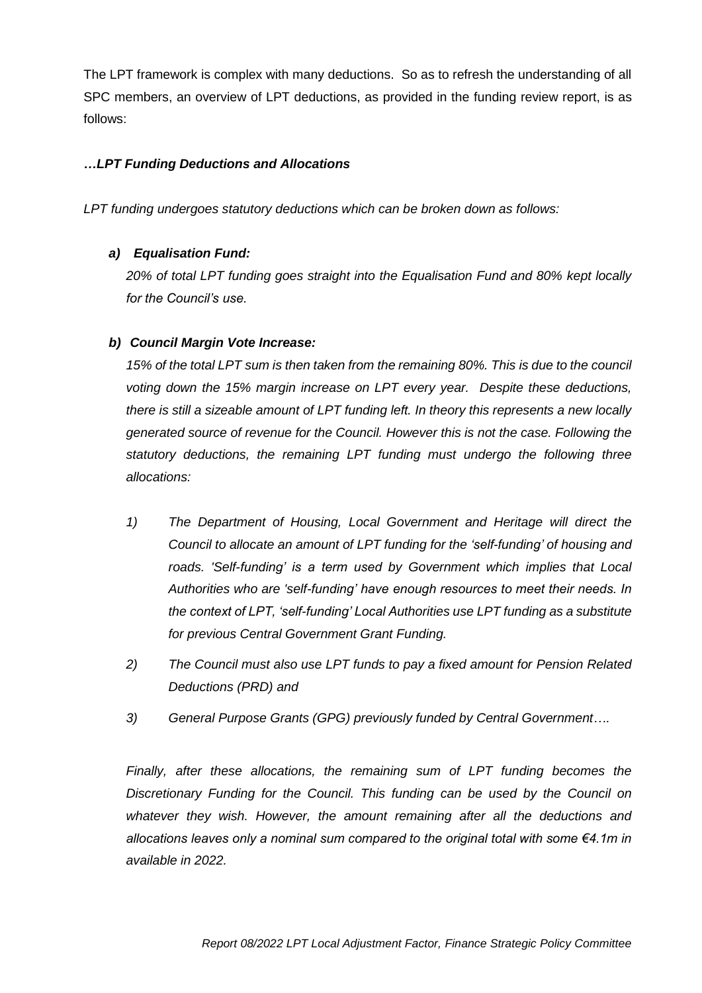The LPT framework is complex with many deductions. So as to refresh the understanding of all SPC members, an overview of LPT deductions, as provided in the funding review report, is as follows:

## *…LPT Funding Deductions and Allocations*

*LPT funding undergoes statutory deductions which can be broken down as follows:*

# *a) Equalisation Fund:*

*20% of total LPT funding goes straight into the Equalisation Fund and 80% kept locally for the Council's use.*

# *b) Council Margin Vote Increase:*

*15% of the total LPT sum is then taken from the remaining 80%. This is due to the council voting down the 15% margin increase on LPT every year. Despite these deductions, there is still a sizeable amount of LPT funding left. In theory this represents a new locally generated source of revenue for the Council. However this is not the case. Following the statutory deductions, the remaining LPT funding must undergo the following three allocations:*

- *1) The Department of Housing, Local Government and Heritage will direct the Council to allocate an amount of LPT funding for the 'self-funding' of housing and roads. 'Self-funding' is a term used by Government which implies that Local Authorities who are 'self-funding' have enough resources to meet their needs. In the context of LPT, 'self-funding' Local Authorities use LPT funding as a substitute for previous Central Government Grant Funding.*
- *2) The Council must also use LPT funds to pay a fixed amount for Pension Related Deductions (PRD) and*
- *3) General Purpose Grants (GPG) previously funded by Central Government….*

*Finally, after these allocations, the remaining sum of LPT funding becomes the Discretionary Funding for the Council. This funding can be used by the Council on whatever they wish. However, the amount remaining after all the deductions and allocations leaves only a nominal sum compared to the original total with some €4.1m in available in 2022.*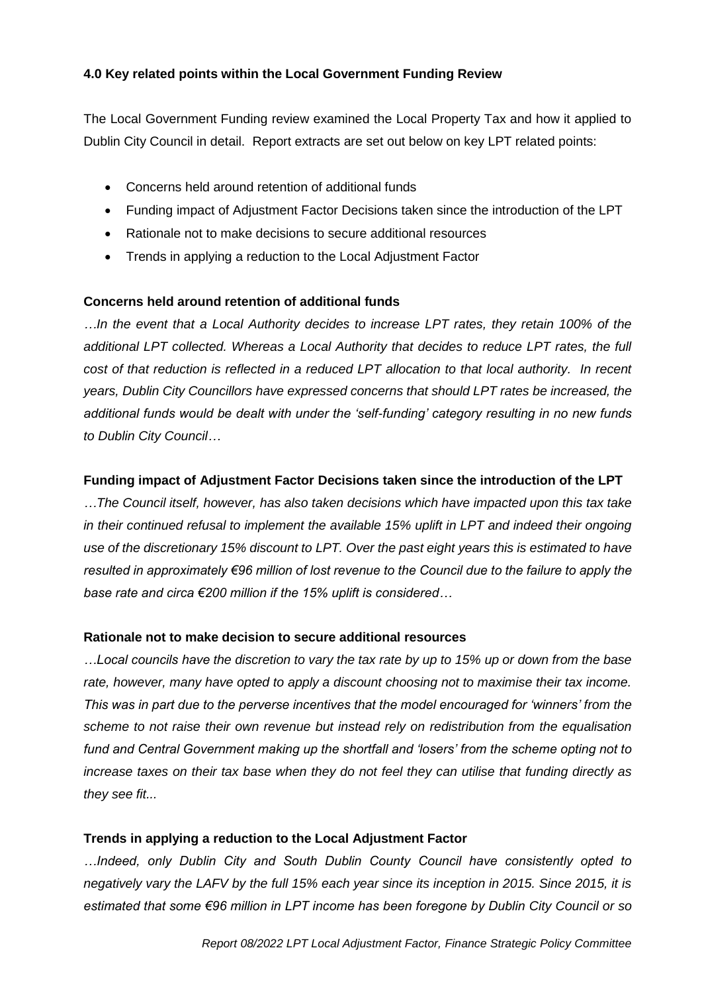## **4.0 Key related points within the Local Government Funding Review**

The Local Government Funding review examined the Local Property Tax and how it applied to Dublin City Council in detail. Report extracts are set out below on key LPT related points:

- Concerns held around retention of additional funds
- Funding impact of Adjustment Factor Decisions taken since the introduction of the LPT
- Rationale not to make decisions to secure additional resources
- Trends in applying a reduction to the Local Adjustment Factor

#### **Concerns held around retention of additional funds**

*…In the event that a Local Authority decides to increase LPT rates, they retain 100% of the additional LPT collected. Whereas a Local Authority that decides to reduce LPT rates, the full cost of that reduction is reflected in a reduced LPT allocation to that local authority. In recent years, Dublin City Councillors have expressed concerns that should LPT rates be increased, the additional funds would be dealt with under the 'self-funding' category resulting in no new funds to Dublin City Council…*

#### **Funding impact of Adjustment Factor Decisions taken since the introduction of the LPT**

*…The Council itself, however, has also taken decisions which have impacted upon this tax take*  in their continued refusal to implement the available 15% uplift in LPT and indeed their ongoing *use of the discretionary 15% discount to LPT. Over the past eight years this is estimated to have resulted in approximately €96 million of lost revenue to the Council due to the failure to apply the base rate and circa €200 million if the 15% uplift is considered…*

#### **Rationale not to make decision to secure additional resources**

*…Local councils have the discretion to vary the tax rate by up to 15% up or down from the base rate, however, many have opted to apply a discount choosing not to maximise their tax income. This was in part due to the perverse incentives that the model encouraged for 'winners' from the scheme to not raise their own revenue but instead rely on redistribution from the equalisation fund and Central Government making up the shortfall and 'losers' from the scheme opting not to increase taxes on their tax base when they do not feel they can utilise that funding directly as they see fit...*

#### **Trends in applying a reduction to the Local Adjustment Factor**

*…Indeed, only Dublin City and South Dublin County Council have consistently opted to negatively vary the LAFV by the full 15% each year since its inception in 2015. Since 2015, it is estimated that some €96 million in LPT income has been foregone by Dublin City Council or so*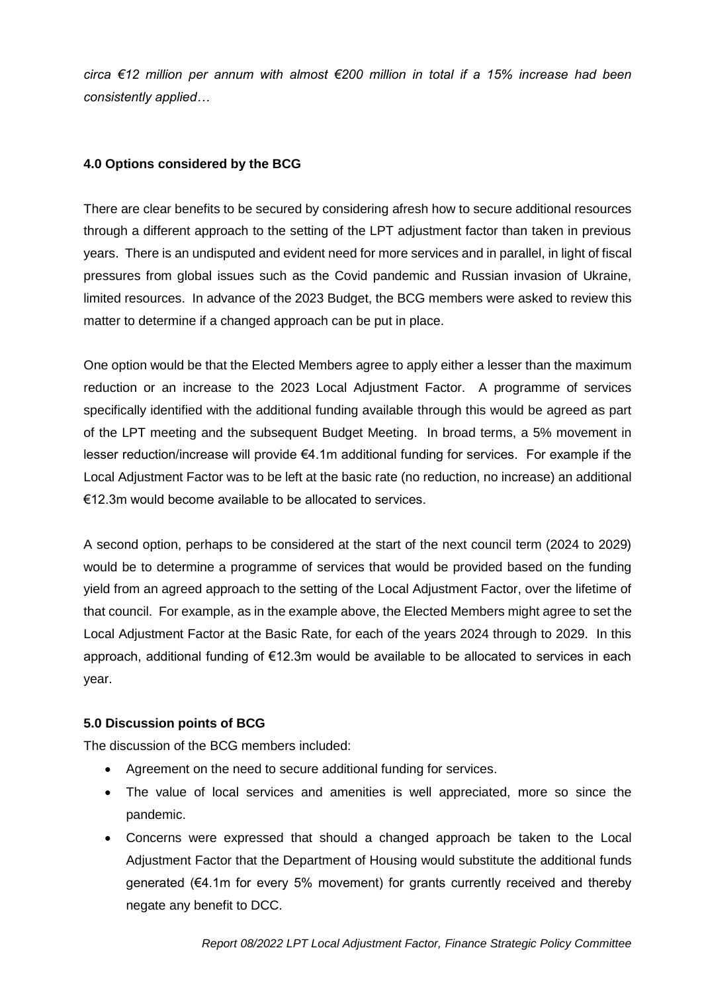*circa €12 million per annum with almost €200 million in total if a 15% increase had been consistently applied…*

#### **4.0 Options considered by the BCG**

There are clear benefits to be secured by considering afresh how to secure additional resources through a different approach to the setting of the LPT adjustment factor than taken in previous years. There is an undisputed and evident need for more services and in parallel, in light of fiscal pressures from global issues such as the Covid pandemic and Russian invasion of Ukraine, limited resources. In advance of the 2023 Budget, the BCG members were asked to review this matter to determine if a changed approach can be put in place.

One option would be that the Elected Members agree to apply either a lesser than the maximum reduction or an increase to the 2023 Local Adjustment Factor. A programme of services specifically identified with the additional funding available through this would be agreed as part of the LPT meeting and the subsequent Budget Meeting. In broad terms, a 5% movement in lesser reduction/increase will provide €4.1m additional funding for services. For example if the Local Adjustment Factor was to be left at the basic rate (no reduction, no increase) an additional €12.3m would become available to be allocated to services.

A second option, perhaps to be considered at the start of the next council term (2024 to 2029) would be to determine a programme of services that would be provided based on the funding yield from an agreed approach to the setting of the Local Adjustment Factor, over the lifetime of that council. For example, as in the example above, the Elected Members might agree to set the Local Adjustment Factor at the Basic Rate, for each of the years 2024 through to 2029. In this approach, additional funding of €12.3m would be available to be allocated to services in each year.

#### **5.0 Discussion points of BCG**

The discussion of the BCG members included:

- Agreement on the need to secure additional funding for services.
- The value of local services and amenities is well appreciated, more so since the pandemic.
- Concerns were expressed that should a changed approach be taken to the Local Adjustment Factor that the Department of Housing would substitute the additional funds generated (€4.1m for every 5% movement) for grants currently received and thereby negate any benefit to DCC.